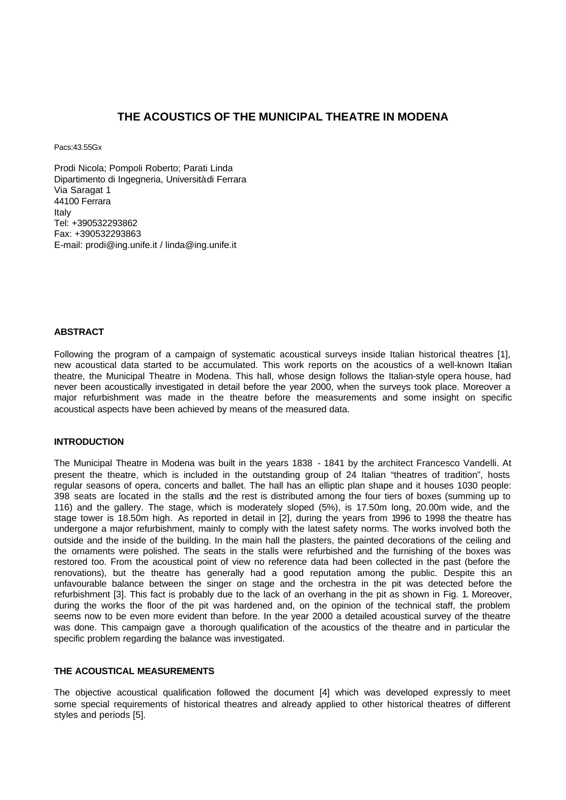# **THE ACOUSTICS OF THE MUNICIPAL THEATRE IN MODENA**

Pacs:43.55Gx

Prodi Nicola; Pompoli Roberto; Parati Linda Dipartimento di Ingegneria, Università di Ferrara Via Saragat 1 44100 Ferrara Italy Tel: +390532293862 Fax: +390532293863 E-mail: prodi@ing.unife.it / linda@ing.unife.it

#### **ABSTRACT**

Following the program of a campaign of systematic acoustical surveys inside Italian historical theatres [1], new acoustical data started to be accumulated. This work reports on the acoustics of a well-known Italian theatre, the Municipal Theatre in Modena. This hall, whose design follows the Italian-style opera house, had never been acoustically investigated in detail before the year 2000, when the surveys took place. Moreover a major refurbishment was made in the theatre before the measurements and some insight on specific acoustical aspects have been achieved by means of the measured data.

### **INTRODUCTION**

The Municipal Theatre in Modena was built in the years 1838 - 1841 by the architect Francesco Vandelli. At present the theatre, which is included in the outstanding group of 24 Italian "theatres of tradition", hosts regular seasons of opera, concerts and ballet. The hall has an elliptic plan shape and it houses 1030 people: 398 seats are located in the stalls and the rest is distributed among the four tiers of boxes (summing up to 116) and the gallery. The stage, which is moderately sloped (5%), is 17.50m long, 20.00m wide, and the stage tower is 18.50m high. As reported in detail in [2], during the years from 1996 to 1998 the theatre has undergone a major refurbishment, mainly to comply with the latest safety norms. The works involved both the outside and the inside of the building. In the main hall the plasters, the painted decorations of the ceiling and the ornaments were polished. The seats in the stalls were refurbished and the furnishing of the boxes was restored too. From the acoustical point of view no reference data had been collected in the past (before the renovations), but the theatre has generally had a good reputation among the public. Despite this an unfavourable balance between the singer on stage and the orchestra in the pit was detected before the refurbishment [3]. This fact is probably due to the lack of an overhang in the pit as shown in Fig. 1. Moreover, during the works the floor of the pit was hardened and, on the opinion of the technical staff, the problem seems now to be even more evident than before. In the year 2000 a detailed acoustical survey of the theatre was done. This campaign gave a thorough qualification of the acoustics of the theatre and in particular the specific problem regarding the balance was investigated.

# **THE ACOUSTICAL MEASUREMENTS**

The objective acoustical qualification followed the document [4] which was developed expressly to meet some special requirements of historical theatres and already applied to other historical theatres of different styles and periods [5].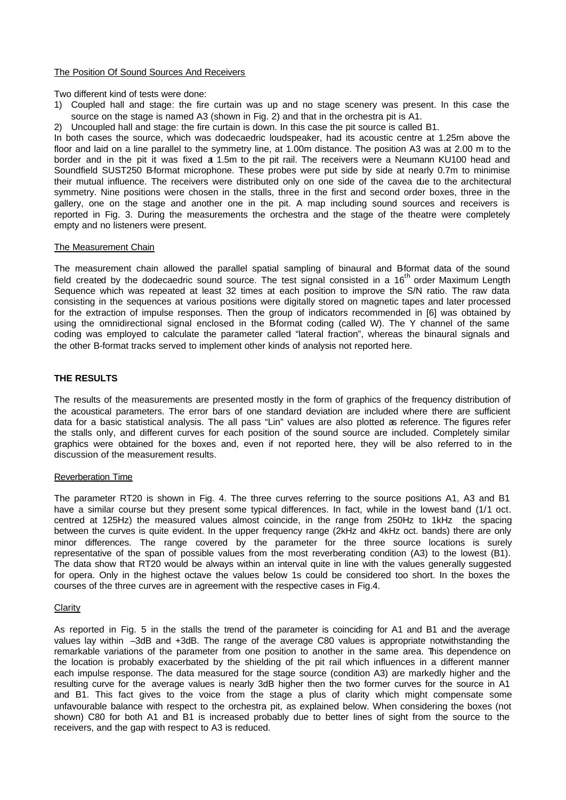#### The Position Of Sound Sources And Receivers

Two different kind of tests were done:

- 1) Coupled hall and stage: the fire curtain was up and no stage scenery was present. In this case the source on the stage is named A3 (shown in Fig. 2) and that in the orchestra pit is A1.
- 2) Uncoupled hall and stage: the fire curtain is down. In this case the pit source is called B1.

In both cases the source, which was dodecaedric loudspeaker, had its acoustic centre at 1.25m above the floor and laid on a line parallel to the symmetry line, at 1.00m distance. The position A3 was at 2.00 m to the border and in the pit it was fixed at 1.5m to the pit rail. The receivers were a Neumann KU100 head and Soundfield SUST250 B-format microphone. These probes were put side by side at nearly 0.7m to minimise their mutual influence. The receivers were distributed only on one side of the cavea due to the architectural symmetry. Nine positions were chosen in the stalls, three in the first and second order boxes, three in the gallery, one on the stage and another one in the pit. A map including sound sources and receivers is reported in Fig. 3. During the measurements the orchestra and the stage of the theatre were completely empty and no listeners were present.

#### The Measurement Chain

The measurement chain allowed the parallel spatial sampling of binaural and B-format data of the sound field created by the dodecaedric sound source. The test signal consisted in a  $16<sup>th</sup>$  order Maximum Length Sequence which was repeated at least 32 times at each position to improve the S/N ratio. The raw data consisting in the sequences at various positions were digitally stored on magnetic tapes and later processed for the extraction of impulse responses. Then the group of indicators recommended in [6] was obtained by using the omnidirectional signal enclosed in the Bformat coding (called W). The Y channel of the same coding was employed to calculate the parameter called "lateral fraction", whereas the binaural signals and the other B-format tracks served to implement other kinds of analysis not reported here.

### **THE RESULTS**

The results of the measurements are presented mostly in the form of graphics of the frequency distribution of the acoustical parameters. The error bars of one standard deviation are included where there are sufficient data for a basic statistical analysis. The all pass "Lin" values are also plotted as reference. The figures refer the stalls only, and different curves for each position of the sound source are included. Completely similar graphics were obtained for the boxes and, even if not reported here, they will be also referred to in the discussion of the measurement results.

### Reverberation Time

The parameter RT20 is shown in Fig. 4. The three curves referring to the source positions A1, A3 and B1 have a similar course but they present some typical differences. In fact, while in the lowest band (1/1 oct. centred at 125Hz) the measured values almost coincide, in the range from 250Hz to 1kHz the spacing between the curves is quite evident. In the upper frequency range (2kHz and 4kHz oct. bands) there are only minor differences. The range covered by the parameter for the three source locations is surely representative of the span of possible values from the most reverberating condition (A3) to the lowest (B1). The data show that RT20 would be always within an interval quite in line with the values generally suggested for opera. Only in the highest octave the values below 1s could be considered too short. In the boxes the courses of the three curves are in agreement with the respective cases in Fig.4.

#### **Clarity**

As reported in Fig. 5 in the stalls the trend of the parameter is coinciding for A1 and B1 and the average values lay within –3dB and +3dB. The range of the average C80 values is appropriate notwithstanding the remarkable variations of the parameter from one position to another in the same area. This dependence on the location is probably exacerbated by the shielding of the pit rail which influences in a different manner each impulse response. The data measured for the stage source (condition A3) are markedly higher and the resulting curve for the average values is nearly 3dB higher then the two former curves for the source in A1 and B1. This fact gives to the voice from the stage a plus of clarity which might compensate some unfavourable balance with respect to the orchestra pit, as explained below. When considering the boxes (not shown) C80 for both A1 and B1 is increased probably due to better lines of sight from the source to the receivers, and the gap with respect to A3 is reduced.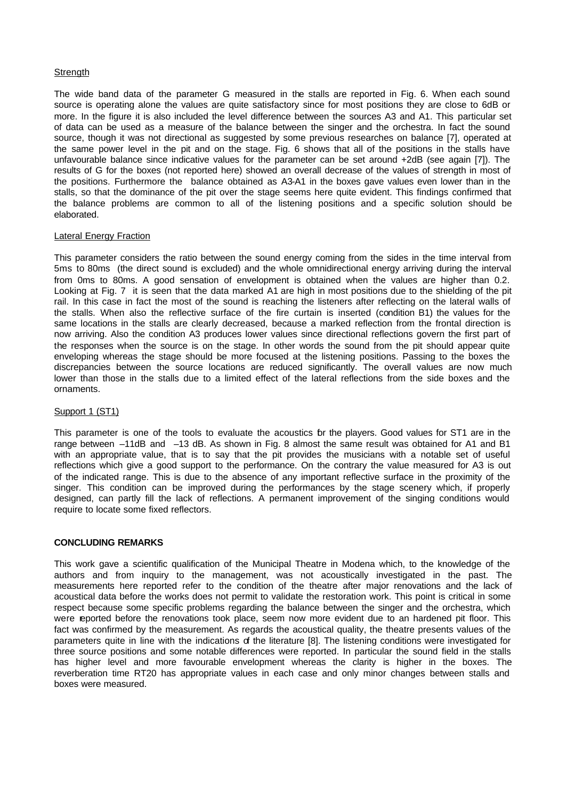## **Strength**

The wide band data of the parameter G measured in the stalls are reported in Fig. 6. When each sound source is operating alone the values are quite satisfactory since for most positions they are close to 6dB or more. In the figure it is also included the level difference between the sources A3 and A1. This particular set of data can be used as a measure of the balance between the singer and the orchestra. In fact the sound source, though it was not directional as suggested by some previous researches on balance [7], operated at the same power level in the pit and on the stage. Fig. 6 shows that all of the positions in the stalls have unfavourable balance since indicative values for the parameter can be set around +2dB (see again [7]). The results of G for the boxes (not reported here) showed an overall decrease of the values of strength in most of the positions. Furthermore the balance obtained as A3-A1 in the boxes gave values even lower than in the stalls, so that the dominance of the pit over the stage seems here quite evident. This findings confirmed that the balance problems are common to all of the listening positions and a specific solution should be elaborated.

### Lateral Energy Fraction

This parameter considers the ratio between the sound energy coming from the sides in the time interval from 5ms to 80ms (the direct sound is excluded) and the whole omnidirectional energy arriving during the interval from 0ms to 80ms. A good sensation of envelopment is obtained when the values are higher than 0.2. Looking at Fig. 7 it is seen that the data marked A1 are high in most positions due to the shielding of the pit rail. In this case in fact the most of the sound is reaching the listeners after reflecting on the lateral walls of the stalls. When also the reflective surface of the fire curtain is inserted (condition B1) the values for the same locations in the stalls are clearly decreased, because a marked reflection from the frontal direction is now arriving. Also the condition A3 produces lower values since directional reflections govern the first part of the responses when the source is on the stage. In other words the sound from the pit should appear quite enveloping whereas the stage should be more focused at the listening positions. Passing to the boxes the discrepancies between the source locations are reduced significantly. The overall values are now much lower than those in the stalls due to a limited effect of the lateral reflections from the side boxes and the ornaments.

## Support 1 (ST1)

This parameter is one of the tools to evaluate the acoustics for the players. Good values for ST1 are in the range between -11dB and -13 dB. As shown in Fig. 8 almost the same result was obtained for A1 and B1 with an appropriate value, that is to say that the pit provides the musicians with a notable set of useful reflections which give a good support to the performance. On the contrary the value measured for A3 is out of the indicated range. This is due to the absence of any important reflective surface in the proximity of the singer. This condition can be improved during the performances by the stage scenery which, if properly designed, can partly fill the lack of reflections. A permanent improvement of the singing conditions would require to locate some fixed reflectors.

### **CONCLUDING REMARKS**

This work gave a scientific qualification of the Municipal Theatre in Modena which, to the knowledge of the authors and from inquiry to the management, was not acoustically investigated in the past. The measurements here reported refer to the condition of the theatre after major renovations and the lack of acoustical data before the works does not permit to validate the restoration work. This point is critical in some respect because some specific problems regarding the balance between the singer and the orchestra, which were reported before the renovations took place, seem now more evident due to an hardened pit floor. This fact was confirmed by the measurement. As regards the acoustical quality, the theatre presents values of the parameters quite in line with the indications of the literature [8]. The listening conditions were investigated for three source positions and some notable differences were reported. In particular the sound field in the stalls has higher level and more favourable envelopment whereas the clarity is higher in the boxes. The reverberation time RT20 has appropriate values in each case and only minor changes between stalls and boxes were measured.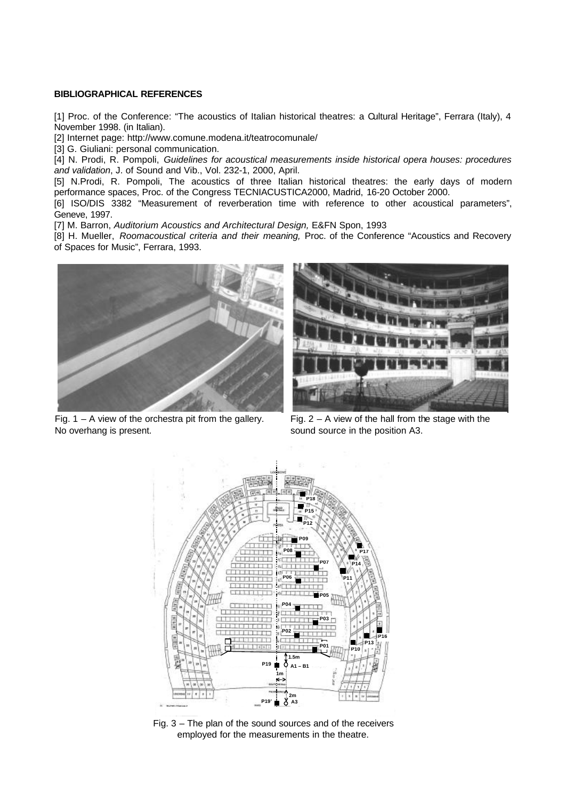### **BIBLIOGRAPHICAL REFERENCES**

[1] Proc. of the Conference: "The acoustics of Italian historical theatres: a Cultural Heritage", Ferrara (Italy), 4 November 1998. (in Italian).

[2] Internet page: http://www.comune.modena.it/teatrocomunale/

[3] G. Giuliani: personal communication.

[4] N. Prodi, R. Pompoli, *Guidelines for acoustical measurements inside historical opera houses: procedures and validation*, J. of Sound and Vib., Vol. 232-1, 2000, April.

[5] N.Prodi, R. Pompoli, The acoustics of three Italian historical theatres: the early days of modern performance spaces, Proc. of the Congress TECNIACUSTICA2000, Madrid, 16-20 October 2000.

[6] ISO/DIS 3382 "Measurement of reverberation time with reference to other acoustical parameters", Geneve, 1997.

[7] M. Barron, *Auditorium Acoustics and Architectural Design, E&FN Spon, 1993* 

[8] H. Mueller, *Roomacoustical criteria and their meaning,* Proc. of the Conference "Acoustics and Recovery of Spaces for Music", Ferrara, 1993.





Fig.  $1 - A$  view of the orchestra pit from the gallery. No overhang is present.

Fig.  $2 - A$  view of the hall from the stage with the sound source in the position A3.



Fig. 3 – The plan of the sound sources and of the receivers employed for the measurements in the theatre.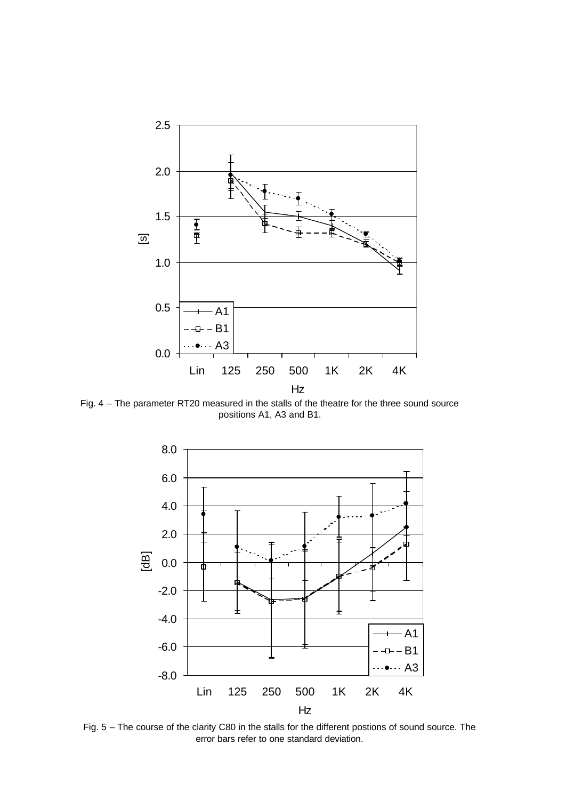

Fig. 4 – The parameter RT20 measured in the stalls of the theatre for the three sound source positions A1, A3 and B1.



Fig. 5 – The course of the clarity C80 in the stalls for the different postions of sound source. The error bars refer to one standard deviation.